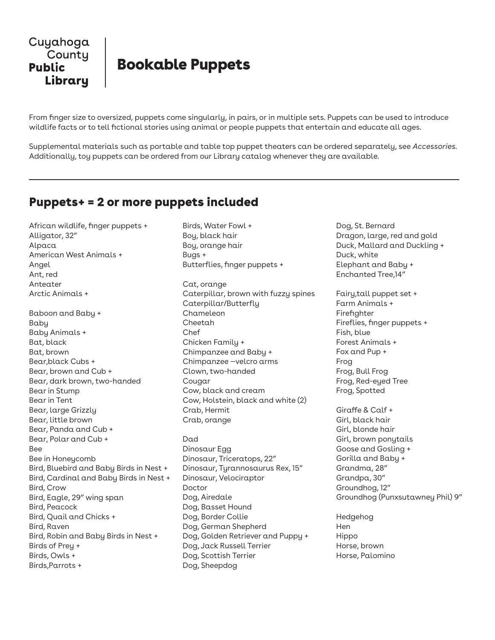

From finger size to oversized, puppets come singularly, in pairs, or in multiple sets. Puppets can be used to introduce wildlife facts or to tell fictional stories using animal or people puppets that entertain and educate all ages.

Supplemental materials such as portable and table top puppet theaters can be ordered separately, see *Accessories.* Additionally, toy puppets can be ordered from our Library catalog whenever they are available.

Birds, Water Fowl +

## Puppets+ = 2 or more puppets included

African wildlife, finger puppets + Alligator, 32" Alpaca American West Animals + Angel Ant, red Anteater Arctic Animals + Baboon and Baby + Baby Baby Animals + Bat, black Bat, brown Bear,black Cubs + Bear, brown and Cub + Bear, dark brown, two-handed Bear in Stump Bear in Tent Bear, large Grizzly Bear, little brown Bear, Panda and Cub + Bear, Polar and Cub + Bee Bee in Honeycomb Bird, Bluebird and Baby Birds in Nest + Bird, Cardinal and Baby Birds in Nest + Bird, Crow Bird, Eagle, 29" wing span Bird, Peacock Bird, Quail and Chicks + Bird, Raven Bird, Robin and Baby Birds in Nest + Birds of Prey + Birds, Owls + Birds,Parrots +

Boy, black hair Boy, orange hair Bugs + Butterflies, finger puppets + Cat, orange Caterpillar, brown with fuzzy spines Caterpillar/Butterfly Chameleon Cheetah Chef Chicken Family + Chimpanzee and Baby + Chimpanzee —velcro arms Clown, two-handed Cougar Cow, black and cream Cow, Holstein, black and white (2) Crab, Hermit Crab, orange

Dad Dinosaur Egg Dinosaur, Triceratops, 22" Dinosaur, Tyrannosaurus Rex, 15" Dinosaur, Velociraptor Doctor Dog, Airedale Dog, Basset Hound Dog, Border Collie Dog, German Shepherd Dog, Golden Retriever and Puppy + Dog, Jack Russell Terrier Dog, Scottish Terrier Dog, Sheepdog

Dog, St. Bernard Dragon, large, red and gold Duck, Mallard and Duckling + Duck, white Elephant and Baby + Enchanted Tree,14"

Fairy,tall puppet set + Farm Animals + Firefighter Fireflies, finger puppets + Fish, blue Forest Animals + Fox and Pup + Frog Frog, Bull Frog Frog, Red-eyed Tree Frog, Spotted

Giraffe & Calf + Girl, black hair Girl, blonde hair Girl, brown ponytails Goose and Gosling + Gorilla and Baby + Grandma, 28" Grandpa, 30" Groundhog, 12" Groundhog (Punxsutawney Phil) 9"

Hedgehog Hen Hippo Horse, brown Horse, Palomino